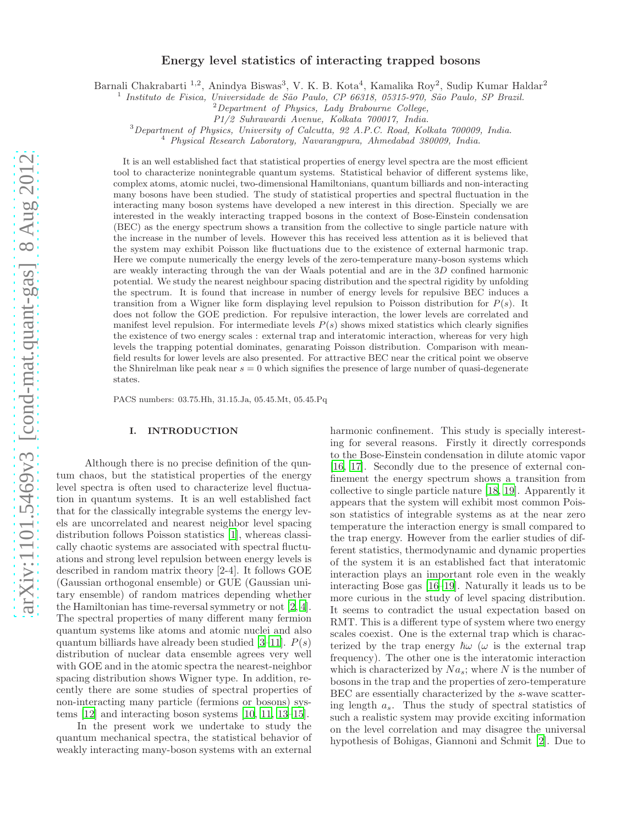# Energy level statistics of interacting trapped bosons

Barnali Chakrabarti <sup>1,2</sup>, Anindya Biswas<sup>3</sup>, V. K. B. Kota<sup>4</sup>, Kamalika Roy<sup>2</sup>, Sudip Kumar Haldar<sup>2</sup>

<sup>1</sup> Instituto de Fisica, Universidade de São Paulo, CP 66318, 05315-970, São Paulo, SP Brazil.

P1/2 Suhrawardi Avenue, Kolkata 700017, India.

<sup>3</sup>Department of Physics, University of Calcutta, 92 A.P.C. Road, Kolkata 700009, India.

<sup>4</sup> Physical Research Laboratory, Navarangpura, Ahmedabad 380009, India.

It is an well established fact that statistical properties of energy level spectra are the most efficient tool to characterize nonintegrable quantum systems. Statistical behavior of different systems like, complex atoms, atomic nuclei, two-dimensional Hamiltonians, quantum billiards and non-interacting many bosons have been studied. The study of statistical properties and spectral fluctuation in the interacting many boson systems have developed a new interest in this direction. Specially we are interested in the weakly interacting trapped bosons in the context of Bose-Einstein condensation (BEC) as the energy spectrum shows a transition from the collective to single particle nature with the increase in the number of levels. However this has received less attention as it is believed that the system may exhibit Poisson like fluctuations due to the existence of external harmonic trap. Here we compute numerically the energy levels of the zero-temperature many-boson systems which are weakly interacting through the van der Waals potential and are in the 3D confined harmonic potential. We study the nearest neighbour spacing distribution and the spectral rigidity by unfolding the spectrum. It is found that increase in number of energy levels for repulsive BEC induces a transition from a Wigner like form displaying level repulsion to Poisson distribution for  $P(s)$ . It does not follow the GOE prediction. For repulsive interaction, the lower levels are correlated and manifest level repulsion. For intermediate levels  $P(s)$  shows mixed statistics which clearly signifies the existence of two energy scales : external trap and interatomic interaction, whereas for very high levels the trapping potential dominates, genarating Poisson distribution. Comparison with meanfield results for lower levels are also presented. For attractive BEC near the critical point we observe the Shnirelman like peak near  $s = 0$  which signifies the presence of large number of quasi-degenerate states.

PACS numbers: 03.75.Hh, 31.15.Ja, 05.45.Mt, 05.45.Pq

### I. INTRODUCTION

Although there is no precise definition of the quntum chaos, but the statistical properties of the energy level spectra is often used to characterize level fluctuation in quantum systems. It is an well established fact that for the classically integrable systems the energy levels are uncorrelated and nearest neighbor level spacing distribution follows Poisson statistics [\[1](#page-10-0)], whereas classically chaotic systems are associated with spectral fluctuations and strong level repulsion between energy levels is described in random matrix theory [2-4]. It follows GOE (Gaussian orthogonal ensemble) or GUE (Gaussian unitary ensemble) of random matrices depending whether the Hamiltonian has time-reversal symmetry or not [\[2](#page-10-1), [4\]](#page-10-2). The spectral properties of many different many fermion quantum systems like atoms and atomic nuclei and also quantum billiards have already been studied [\[3](#page-10-3)[–11](#page-10-4)].  $P(s)$ distribution of nuclear data ensemble agrees very well with GOE and in the atomic spectra the nearest-neighbor spacing distribution shows Wigner type. In addition, recently there are some studies of spectral properties of non-interacting many particle (fermions or bosons) systems [\[12\]](#page-10-5) and interacting boson systems [\[10,](#page-10-6) [11,](#page-10-4) [13–](#page-10-7)[15\]](#page-10-8).

In the present work we undertake to study the quantum mechanical spectra, the statistical behavior of weakly interacting many-boson systems with an external

harmonic confinement. This study is specially interesting for several reasons. Firstly it directly corresponds to the Bose-Einstein condensation in dilute atomic vapor [\[16,](#page-10-9) [17\]](#page-10-10). Secondly due to the presence of external confinement the energy spectrum shows a transition from collective to single particle nature [\[18](#page-10-11), [19\]](#page-10-12). Apparently it appears that the system will exhibit most common Poisson statistics of integrable systems as at the near zero temperature the interaction energy is small compared to the trap energy. However from the earlier studies of different statistics, thermodynamic and dynamic properties of the system it is an established fact that interatomic interaction plays an important role even in the weakly interacting Bose gas [\[16](#page-10-9)[–19](#page-10-12)]. Naturally it leads us to be more curious in the study of level spacing distribution. It seems to contradict the usual expectation based on RMT. This is a different type of system where two energy scales coexist. One is the external trap which is characterized by the trap energy  $\hbar\omega$  ( $\omega$  is the external trap frequency). The other one is the interatomic interaction which is characterized by  $Na<sub>s</sub>$ ; where N is the number of bosons in the trap and the properties of zero-temperature BEC are essentially characterized by the s-wave scattering length  $a_s$ . Thus the study of spectral statistics of such a realistic system may provide exciting information on the level correlation and may disagree the universal hypothesis of Bohigas, Giannoni and Schmit [\[2](#page-10-1)]. Due to

<sup>2</sup>Department of Physics, Lady Brabourne College,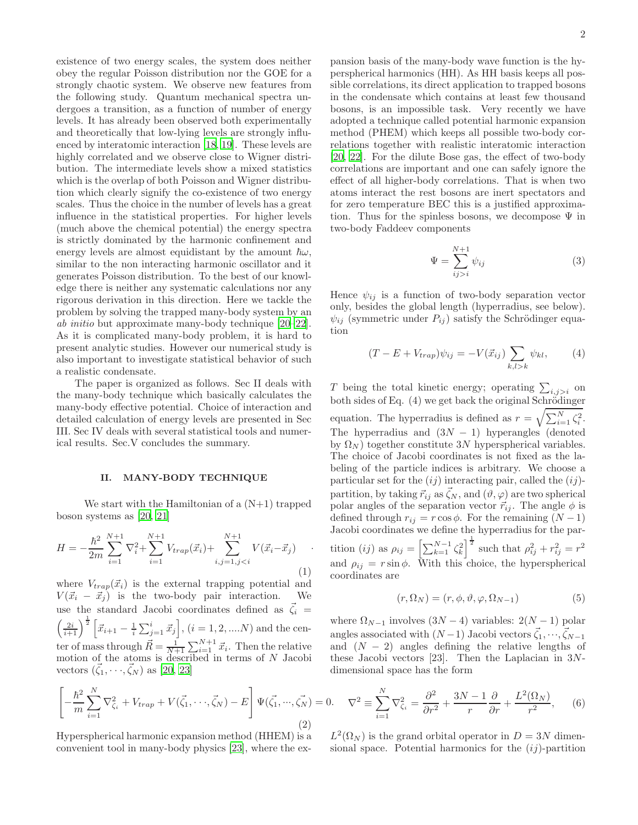existence of two energy scales, the system does neither obey the regular Poisson distribution nor the GOE for a strongly chaotic system. We observe new features from the following study. Quantum mechanical spectra undergoes a transition, as a function of number of energy levels. It has already been observed both experimentally and theoretically that low-lying levels are strongly influenced by interatomic interaction [\[18,](#page-10-11) [19\]](#page-10-12). These levels are highly correlated and we observe close to Wigner distribution. The intermediate levels show a mixed statistics which is the overlap of both Poisson and Wigner distribution which clearly signify the co-existence of two energy scales. Thus the choice in the number of levels has a great influence in the statistical properties. For higher levels (much above the chemical potential) the energy spectra is strictly dominated by the harmonic confinement and energy levels are almost equidistant by the amount  $\hbar\omega$ , similar to the non interacting harmonic oscillator and it generates Poisson distribution. To the best of our knowledge there is neither any systematic calculations nor any rigorous derivation in this direction. Here we tackle the problem by solving the trapped many-body system by an ab initio but approximate many-body technique [\[20](#page-10-13)[–22\]](#page-10-14). As it is complicated many-body problem, it is hard to present analytic studies. However our numerical study is also important to investigate statistical behavior of such a realistic condensate.

The paper is organized as follows. Sec II deals with the many-body technique which basically calculates the many-body effective potential. Choice of interaction and detailed calculation of energy levels are presented in Sec III. Sec IV deals with several statistical tools and numerical results. Sec.V concludes the summary.

#### II. MANY-BODY TECHNIQUE

We start with the Hamiltonian of a  $(N+1)$  trapped boson systems as [\[20,](#page-10-13) [21\]](#page-10-15)

$$
H = -\frac{\hbar^2}{2m} \sum_{i=1}^{N+1} \nabla_i^2 + \sum_{i=1}^{N+1} V_{trap}(\vec{x}_i) + \sum_{i,j=1,j
$$

where  $V_{trap}(\vec{x}_i)$  is the external trapping potential and  $V(\vec{x}_i - \vec{x}_j)$  is the two-body pair interaction. We use the standard Jacobi coordinates defined as  $\vec{\zeta}_i =$  $\left(\frac{2i}{i+1}\right)^{\frac{1}{2}} \left[\vec{x}_{i+1} - \frac{1}{i}\sum_{j=1}^{i} \vec{x}_{j}\right], (i = 1, 2, .... N)$  and the center of mass through  $\vec{R} = \frac{1}{N+1} \sum_{i=1}^{N+1} \vec{x}_i$ . Then the relative motion of the atoms is described in terms of N Jacobi vectors  $(\vec{\zeta}_1, \dots, \vec{\zeta}_N)$  as [\[20](#page-10-13), [23](#page-10-16)]

$$
\left[-\frac{\hbar^2}{m}\sum_{i=1}^N\nabla_{\zeta_i}^2 + V_{trap} + V(\vec{\zeta}_1, \cdots, \vec{\zeta}_N) - E\right]\Psi(\vec{\zeta}_1, \cdots, \vec{\zeta}_N) = 0. \quad \nabla^2 \equiv \sum_{i=1}^N \nabla_{\zeta_i}^2 = \frac{\partial^2}{\partial r^2} + \frac{3N - 1}{r}\frac{\partial}{\partial r} + \frac{L^2(\Omega_N)}{r^2},\tag{6}
$$

Hyperspherical harmonic expansion method (HHEM) is a convenient tool in many-body physics [\[23\]](#page-10-16), where the expansion basis of the many-body wave function is the hyperspherical harmonics (HH). As HH basis keeps all possible correlations, its direct application to trapped bosons in the condensate which contains at least few thousand bosons, is an impossible task. Very recently we have adopted a technique called potential harmonic expansion method (PHEM) which keeps all possible two-body correlations together with realistic interatomic interaction [\[20,](#page-10-13) [22](#page-10-14)]. For the dilute Bose gas, the effect of two-body correlations are important and one can safely ignore the effect of all higher-body correlations. That is when two atoms interact the rest bosons are inert spectators and for zero temperature BEC this is a justified approximation. Thus for the spinless bosons, we decompose  $\Psi$  in two-body Faddeev components

$$
\Psi = \sum_{ij>i}^{N+1} \psi_{ij} \tag{3}
$$

Hence  $\psi_{ij}$  is a function of two-body separation vector only, besides the global length (hyperradius, see below).  $\psi_{ij}$  (symmetric under  $P_{ij}$ ) satisfy the Schrödinger equation

$$
(T - E + V_{trap})\psi_{ij} = -V(\vec{x}_{ij}) \sum_{k,l>k} \psi_{kl}, \qquad (4)
$$

T being the total kinetic energy; operating  $\sum_{i,j>i}$  on both sides of Eq.  $(4)$  we get back the original Schrödinger equation. The hyperradius is defined as  $r = \sqrt{\sum_{i=1}^{N} \zeta_i^2}$ . The hyperradius and  $(3N - 1)$  hyperangles (denoted by  $\Omega_N$ ) together constitute 3N hyperspherical variables. The choice of Jacobi coordinates is not fixed as the labeling of the particle indices is arbitrary. We choose a particular set for the  $(ij)$  interacting pair, called the  $(ij)$ partition, by taking  $\vec{r}_{ij}$  as  $\vec{\zeta}_N$ , and  $(\vartheta, \varphi)$  are two spherical polar angles of the separation vector  $\vec{r}_{ij}$ . The angle  $\phi$  is defined through  $r_{ij} = r \cos \phi$ . For the remaining  $(N-1)$ Jacobi coordinates we define the hyperradius for the partition (*ij*) as  $\rho_{ij} = \left[\sum_{k=1}^{N-1} \zeta_k^2\right]^{\frac{1}{2}}$  such that  $\rho_{ij}^2 + r_{ij}^2 = r^2$ and  $\rho_{ij} = r \sin \phi$ . With this choice, the hyperspherical coordinates are

$$
(r, \Omega_N) = (r, \phi, \vartheta, \varphi, \Omega_{N-1})
$$
\n(5)

where  $\Omega_{N-1}$  involves  $(3N-4)$  variables:  $2(N-1)$  polar angles associated with  $(N-1)$  Jacobi vectors  $\vec{\zeta}_1, \dots, \vec{\zeta}_{N-1}$ and  $(N - 2)$  angles defining the relative lengths of these Jacobi vectors  $[23]$ . Then the Laplacian in  $3N$ dimensional space has the form

 $L^2(\Omega_N)$  is the grand orbital operator in  $D = 3N$  dimensional space. Potential harmonics for the  $(ij)$ -partition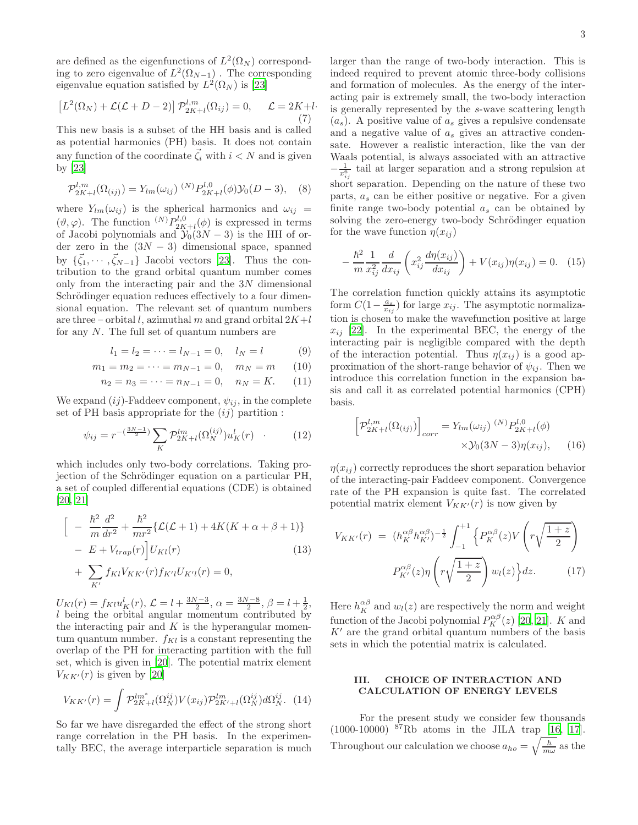3

are defined as the eigenfunctions of  $L^2(\Omega_N)$  corresponding to zero eigenvalue of  $L^2(\Omega_{N-1})$ . The corresponding eigenvalue equation satisfied by  $L^2(\Omega_N)$  is [\[23](#page-10-16)]

$$
\[L^2(\Omega_N) + \mathcal{L}(\mathcal{L} + D - 2)\]\mathcal{P}_{2K+l}^{l,m}(\Omega_{ij}) = 0, \quad \mathcal{L} = 2K + l\tag{7}
$$

This new basis is a subset of the HH basis and is called as potential harmonics (PH) basis. It does not contain any function of the coordinate  $\vec{\zeta}_i$  with  $i < N$  and is given by [\[23\]](#page-10-16)

$$
\mathcal{P}_{2K+l}^{l,m}(\Omega_{(ij)}) = Y_{lm}(\omega_{ij})^{(N)} P_{2K+l}^{l,0}(\phi) \mathcal{Y}_0(D-3), \quad (8)
$$

where  $Y_{lm}(\omega_{ij})$  is the spherical harmonics and  $\omega_{ij}$  =  $(\vartheta, \varphi)$ . The function  ${}^{(N)}P_{2K+l}^{l,0}(\phi)$  is expressed in terms of Jacobi polynomials and  $\mathcal{Y}_0(3N-3)$  is the HH of order zero in the  $(3N - 3)$  dimensional space, spanned by  $\{\vec{\zeta}_1,\cdots,\vec{\zeta}_{N-1}\}\$  Jacobi vectors [\[23](#page-10-16)]. Thus the contribution to the grand orbital quantum number comes only from the interacting pair and the  $3N$  dimensional Schrödinger equation reduces effectively to a four dimensional equation. The relevant set of quantum numbers are three – orbital l, azimuthal m and grand orbital  $2K+l$ for any N. The full set of quantum numbers are

$$
l_1 = l_2 = \dots = l_{N-1} = 0, \quad l_N = l \tag{9}
$$

$$
m_1 = m_2 = \dots = m_{N-1} = 0, \quad m_N = m \qquad (10)
$$

$$
n_2 = n_3 = \dots = n_{N-1} = 0, \quad n_N = K. \tag{11}
$$

We expand  $(ij)$ -Faddeev component,  $\psi_{ij}$ , in the complete set of PH basis appropriate for the  $(ij)$  partition :

$$
\psi_{ij} = r^{-\left(\frac{3N-1}{2}\right)} \sum_{K} \mathcal{P}_{2K+l}^{lm} (\Omega_N^{(ij)}) u_K^l(r) \quad . \tag{12}
$$

which includes only two-body correlations. Taking projection of the Schrödinger equation on a particular PH, a set of coupled differential equations (CDE) is obtained [\[20,](#page-10-13) [21\]](#page-10-15)

$$
\begin{aligned}\n&\left[ -\frac{\hbar^2}{m} \frac{d^2}{dr^2} + \frac{\hbar^2}{mr^2} \{ \mathcal{L}(\mathcal{L} + 1) + 4K(K + \alpha + \beta + 1) \} \right. \\
&\left. - E + V_{trap}(r) \right] U_{Kl}(r) \\
&+ \sum_{K'} f_{Kl} V_{KK'}(r) f_{K'l} U_{K'l}(r) = 0,\n\end{aligned} \tag{13}
$$

 $U_{Kl}(r) = f_{Kl}u_K^l(r), \mathcal{L} = l + \frac{3N-3}{2}, \alpha = \frac{3N-8}{2}, \beta = l + \frac{1}{2},$ l being the orbital angular momentum contributed by the interacting pair and  $K$  is the hyperangular momentum quantum number.  $f_{Kl}$  is a constant representing the overlap of the PH for interacting partition with the full set, which is given in [\[20\]](#page-10-13). The potential matrix element  $V_{KK'}(r)$  is given by [\[20\]](#page-10-13)

$$
V_{KK'}(r) = \int \mathcal{P}_{2K+l}^{lm^*} (\Omega_N^{ij}) V(x_{ij}) \mathcal{P}_{2K'+l}^{lm} (\Omega_N^{ij}) d\Omega_N^{ij}.
$$
 (14)

So far we have disregarded the effect of the strong short range correlation in the PH basis. In the experimentally BEC, the average interparticle separation is much larger than the range of two-body interaction. This is indeed required to prevent atomic three-body collisions and formation of molecules. As the energy of the interacting pair is extremely small, the two-body interaction is generally represented by the s-wave scattering length  $(a_s)$ . A positive value of  $a_s$  gives a repulsive condensate and a negative value of  $a<sub>s</sub>$  gives an attractive condensate. However a realistic interaction, like the van der Waals potential, is always associated with an attractive  $-\frac{1}{x_{ij}^6}$  tail at larger separation and a strong repulsion at short separation. Depending on the nature of these two parts,  $a_s$  can be either positive or negative. For a given finite range two-body potential  $a_s$  can be obtained by solving the zero-energy two-body Schrödinger equation for the wave function  $\eta(x_{ij})$ 

$$
-\frac{\hbar^2}{m}\frac{1}{x_{ij}^2}\frac{d}{dx_{ij}}\left(x_{ij}^2\frac{d\eta(x_{ij})}{dx_{ij}}\right) + V(x_{ij})\eta(x_{ij}) = 0.
$$
 (15)

The correlation function quickly attains its asymptotic form  $C(1-\frac{a_s}{x_{ij}})$  for large  $x_{ij}$ . The asymptotic normalization is chosen to make the wavefunction positive at large  $x_{ij}$  [\[22](#page-10-14)]. In the experimental BEC, the energy of the interacting pair is negligible compared with the depth of the interaction potential. Thus  $\eta(x_{ij})$  is a good approximation of the short-range behavior of  $\psi_{ij}$ . Then we introduce this correlation function in the expansion basis and call it as correlated potential harmonics (CPH) basis.

$$
\left[\mathcal{P}_{2K+l}^{l,m}(\Omega_{(ij)})\right]_{corr} = Y_{lm}(\omega_{ij})^{(N)} P_{2K+l}^{l,0}(\phi) \times \mathcal{Y}_0(3N-3)\eta(x_{ij}), \qquad (16)
$$

 $\eta(x_{ij})$  correctly reproduces the short separation behavior of the interacting-pair Faddeev component. Convergence rate of the PH expansion is quite fast. The correlated potential matrix element  $V_{KK'}(r)$  is now given by

$$
V_{KK'}(r) = (h_K^{\alpha\beta} h_{K'}^{\alpha\beta})^{-\frac{1}{2}} \int_{-1}^{+1} \left\{ P_K^{\alpha\beta}(z) V\left(r\sqrt{\frac{1+z}{2}}\right) \right\}
$$

$$
P_{K'}^{\alpha\beta}(z) \eta \left(r\sqrt{\frac{1+z}{2}}\right) w_l(z) \right\} dz. \tag{17}
$$

Here  $h_K^{\alpha\beta}$  and  $w_l(z)$  are respectively the norm and weight function of the Jacobi polynomial  $P_K^{\alpha\beta}(z)$  [\[20,](#page-10-13) [21\]](#page-10-15). K and  $K'$  are the grand orbital quantum numbers of the basis sets in which the potential matrix is calculated.

## III. CHOICE OF INTERACTION AND CALCULATION OF ENERGY LEVELS

For the present study we consider few thousands (1000-10000) <sup>87</sup>Rb atoms in the JILA trap [\[16,](#page-10-9) [17\]](#page-10-10). Throughout our calculation we choose  $a_{ho} = \sqrt{\frac{\hbar}{m}}$  $\frac{h}{m\omega}$  as the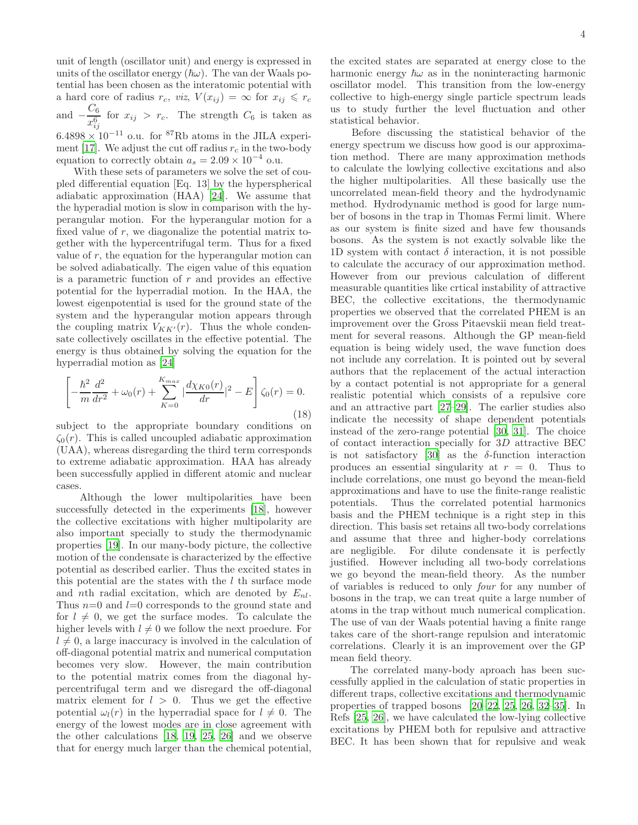unit of length (oscillator unit) and energy is expressed in units of the oscillator energy  $(\hbar\omega)$ . The van der Waals potential has been chosen as the interatomic potential with a hard core of radius  $r_c$ , viz,  $V(x_{ij}) = \infty$  for  $x_{ij} \le r_c$ and  $-\frac{C_6}{6}$  $rac{0}{x_{ij}^6}$  for  $x_{ij} > r_c$ . The strength  $C_6$  is taken as  $6.4898 \times 10^{-11}$  o.u. for <sup>87</sup>Rb atoms in the JILA experi-

ment [\[17\]](#page-10-10). We adjust the cut off radius  $r_c$  in the two-body equation to correctly obtain  $a_s = 2.09 \times 10^{-4}$  o.u.

With these sets of parameters we solve the set of coupled differential equation [Eq. 13] by the hyperspherical adiabatic approximation (HAA) [\[24](#page-10-17)]. We assume that the hyperadial motion is slow in comparison with the hyperangular motion. For the hyperangular motion for a fixed value of  $r$ , we diagonalize the potential matrix together with the hypercentrifugal term. Thus for a fixed value of  $r$ , the equation for the hyperangular motion can be solved adiabatically. The eigen value of this equation is a parametric function of  $r$  and provides an effective potential for the hyperradial motion. In the HAA, the lowest eigenpotential is used for the ground state of the system and the hyperangular motion appears through the coupling matrix  $V_{KK'}(r)$ . Thus the whole condensate collectively oscillates in the effective potential. The energy is thus obtained by solving the equation for the hyperradial motion as [\[24\]](#page-10-17)

$$
\left[ -\frac{\hbar^2}{m} \frac{d^2}{dr^2} + \omega_0(r) + \sum_{K=0}^{K_{max}} \left| \frac{d\chi_{K0}(r)}{dr} \right|^2 - E \right] \zeta_0(r) = 0.
$$
\n(18)

subject to the appropriate boundary conditions on  $\zeta_0(r)$ . This is called uncoupled adiabatic approximation (UAA), whereas disregarding the third term corresponds to extreme adiabatic approximation. HAA has already been successfully applied in different atomic and nuclear cases.

Although the lower multipolarities have been successfully detected in the experiments [\[18](#page-10-11)], however the collective excitations with higher multipolarity are also important specially to study the thermodynamic properties [\[19\]](#page-10-12). In our many-body picture, the collective motion of the condensate is characterized by the effective potential as described earlier. Thus the excited states in this potential are the states with the  $l$  th surface mode and nth radial excitation, which are denoted by  $E_{nl}$ . Thus  $n=0$  and  $l=0$  corresponds to the ground state and for  $l \neq 0$ , we get the surface modes. To calculate the higher levels with  $l \neq 0$  we follow the next proedure. For  $l \neq 0$ , a large inaccuracy is involved in the calculation of off-diagonal potential matrix and numerical computation becomes very slow. However, the main contribution to the potential matrix comes from the diagonal hypercentrifugal term and we disregard the off-diagonal matrix element for  $l > 0$ . Thus we get the effective potential  $\omega_l(r)$  in the hyperradial space for  $l \neq 0$ . The energy of the lowest modes are in close agreement with the other calculations [\[18](#page-10-11), [19,](#page-10-12) [25](#page-10-18), [26\]](#page-10-19) and we observe that for energy much larger than the chemical potential,

the excited states are separated at energy close to the harmonic energy  $\hbar\omega$  as in the noninteracting harmonic oscillator model. This transition from the low-energy collective to high-energy single particle spectrum leads us to study further the level fluctuation and other statistical behavior.

Before discussing the statistical behavior of the energy spectrum we discuss how good is our approximation method. There are many approximation methods to calculate the lowlying collective excitations and also the higher multipolarities. All these basically use the uncorrelated mean-field theory and the hydrodynamic method. Hydrodynamic method is good for large number of bosons in the trap in Thomas Fermi limit. Where as our system is finite sized and have few thousands bosons. As the system is not exactly solvable like the 1D system with contact  $\delta$  interaction, it is not possible to calculate the accuracy of our approximation method. However from our previous calculation of different measurable quantities like crtical instability of attractive BEC, the collective excitations, the thermodynamic properties we observed that the correlated PHEM is an improvement over the Gross Pitaevskii mean field treatment for several reasons. Although the GP mean-field equation is being widely used, the wave function does not include any correlation. It is pointed out by several authors that the replacement of the actual interaction by a contact potential is not appropriate for a general realistic potential which consists of a repulsive core and an attractive part [\[27–](#page-10-20)[29\]](#page-10-21). The earlier studies also indicate the necessity of shape dependent potentials instead of the zero-range potential [\[30](#page-10-22), [31\]](#page-10-23). The choice of contact interaction specially for 3D attractive BEC is not satisfactory [\[30](#page-10-22)] as the  $\delta$ -function interaction produces an essential singularity at  $r = 0$ . Thus to include correlations, one must go beyond the mean-field approximations and have to use the finite-range realistic potentials. Thus the correlated potential harmonics basis and the PHEM technique is a right step in this direction. This basis set retains all two-body correlations and assume that three and higher-body correlations are negligible. For dilute condensate it is perfectly justified. However including all two-body correlations we go beyond the mean-field theory. As the number of variables is reduced to only four for any number of bosons in the trap, we can treat quite a large number of atoms in the trap without much numerical complication. The use of van der Waals potential having a finite range takes care of the short-range repulsion and interatomic correlations. Clearly it is an improvement over the GP mean field theory.

The correlated many-body aproach has been successfully applied in the calculation of static properties in different traps, collective excitations and thermodynamic properties of trapped bosons [\[20](#page-10-13)[–22,](#page-10-14) [25](#page-10-18), [26,](#page-10-19) [32](#page-10-24)[–35\]](#page-11-0). In Refs [\[25,](#page-10-18) [26](#page-10-19)], we have calculated the low-lying collective excitations by PHEM both for repulsive and attractive BEC. It has been shown that for repulsive and weak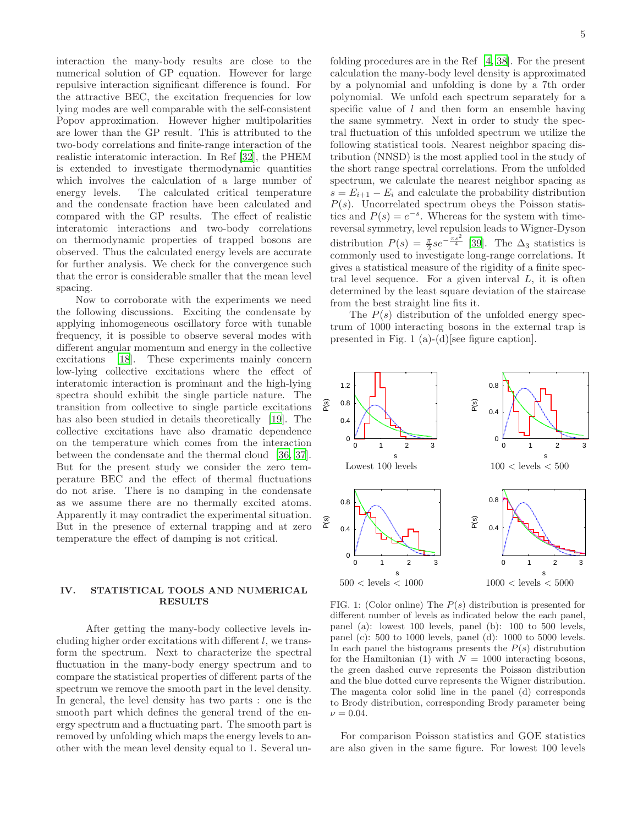interaction the many-body results are close to the numerical solution of GP equation. However for large repulsive interaction significant difference is found. For the attractive BEC, the excitation frequencies for low lying modes are well comparable with the self-consistent Popov approximation. However higher multipolarities are lower than the GP result. This is attributed to the two-body correlations and finite-range interaction of the realistic interatomic interaction. In Ref [\[32\]](#page-10-24), the PHEM is extended to investigate thermodynamic quantities which involves the calculation of a large number of energy levels. The calculated critical temperature and the condensate fraction have been calculated and compared with the GP results. The effect of realistic interatomic interactions and two-body correlations on thermodynamic properties of trapped bosons are observed. Thus the calculated energy levels are accurate for further analysis. We check for the convergence such that the error is considerable smaller that the mean level spacing.

Now to corroborate with the experiments we need the following discussions. Exciting the condensate by applying inhomogeneous oscillatory force with tunable frequency, it is possible to observe several modes with different angular momentum and energy in the collective excitations [\[18\]](#page-10-11). These experiments mainly concern low-lying collective excitations where the effect of interatomic interaction is prominant and the high-lying spectra should exhibit the single particle nature. The transition from collective to single particle excitations has also been studied in details theoretically [\[19\]](#page-10-12). The collective excitations have also dramatic dependence on the temperature which comes from the interaction between the condensate and the thermal cloud [\[36,](#page-11-1) [37\]](#page-11-2). But for the present study we consider the zero temperature BEC and the effect of thermal fluctuations do not arise. There is no damping in the condensate as we assume there are no thermally excited atoms. Apparently it may contradict the experimental situation. But in the presence of external trapping and at zero temperature the effect of damping is not critical.

## IV. STATISTICAL TOOLS AND NUMERICAL RESULTS

After getting the many-body collective levels including higher order excitations with different l, we transform the spectrum. Next to characterize the spectral fluctuation in the many-body energy spectrum and to compare the statistical properties of different parts of the spectrum we remove the smooth part in the level density. In general, the level density has two parts : one is the smooth part which defines the general trend of the energy spectrum and a fluctuating part. The smooth part is removed by unfolding which maps the energy levels to another with the mean level density equal to 1. Several unfolding procedures are in the Ref [\[4](#page-10-2), [38\]](#page-11-3). For the present calculation the many-body level density is approximated by a polynomial and unfolding is done by a 7th order polynomial. We unfold each spectrum separately for a specific value of  $l$  and then form an ensemble having the same symmetry. Next in order to study the spectral fluctuation of this unfolded spectrum we utilize the following statistical tools. Nearest neighbor spacing distribution (NNSD) is the most applied tool in the study of the short range spectral correlations. From the unfolded spectrum, we calculate the nearest neighbor spacing as  $s = E_{i+1} - E_i$  and calculate the probability distribution  $P(s)$ . Uncorrelated spectrum obeys the Poisson statistics and  $P(s) = e^{-s}$ . Whereas for the system with timereversal symmetry, level repulsion leads to Wigner-Dyson distribution  $P(s) = \frac{\pi}{2} s e^{-\frac{\pi s^2}{4}}$  [\[39](#page-11-4)]. The  $\Delta_3$  statistics is commonly used to investigate long-range correlations. It gives a statistical measure of the rigidity of a finite spectral level sequence. For a given interval  $L$ , it is often determined by the least square deviation of the staircase from the best straight line fits it.

The  $P(s)$  distribution of the unfolded energy spectrum of 1000 interacting bosons in the external trap is presented in Fig. 1 (a)-(d)[see figure caption].



FIG. 1: (Color online) The  $P(s)$  distribution is presented for different number of levels as indicated below the each panel, panel (a): lowest 100 levels, panel (b): 100 to 500 levels, panel (c): 500 to 1000 levels, panel (d): 1000 to 5000 levels. In each panel the histograms presents the  $P(s)$  distrubution for the Hamiltonian (1) with  $N = 1000$  interacting bosons, the green dashed curve represents the Poisson distribution and the blue dotted curve represents the Wigner distribution. The magenta color solid line in the panel (d) corresponds to Brody distribution, corresponding Brody parameter being  $\nu = 0.04$ .

For comparison Poisson statistics and GOE statistics are also given in the same figure. For lowest 100 levels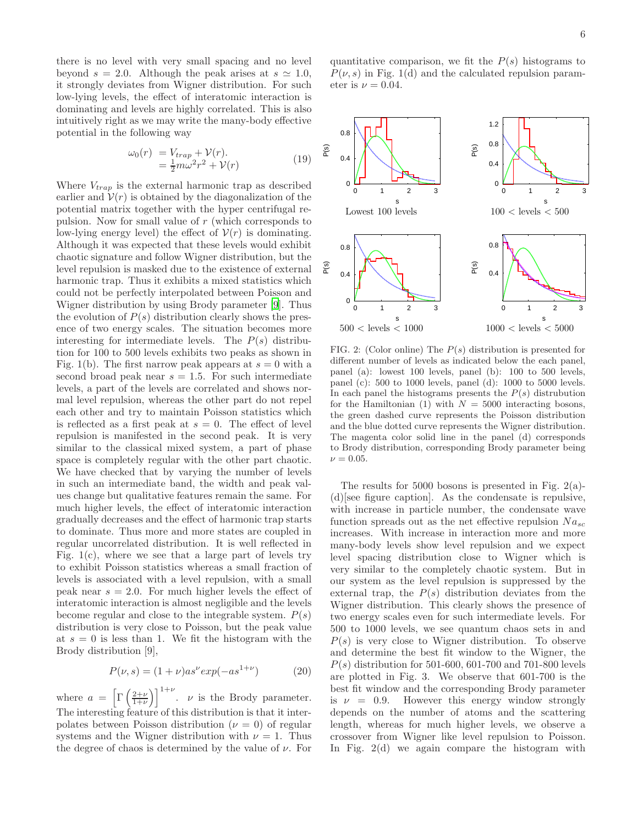there is no level with very small spacing and no level beyond  $s = 2.0$ . Although the peak arises at  $s \approx 1.0$ , it strongly deviates from Wigner distribution. For such low-lying levels, the effect of interatomic interaction is dominating and levels are highly correlated. This is also intuitively right as we may write the many-body effective potential in the following way

$$
\begin{aligned} \omega_0(r) &= V_{trap} + \mathcal{V}(r).\\ &= \frac{1}{2} m \omega^2 r^2 + \mathcal{V}(r) \end{aligned} \tag{19}
$$

Where  $V_{trap}$  is the external harmonic trap as described earlier and  $V(r)$  is obtained by the diagonalization of the potential matrix together with the hyper centrifugal repulsion. Now for small value of r (which corresponds to low-lying energy level) the effect of  $V(r)$  is dominating. Although it was expected that these levels would exhibit chaotic signature and follow Wigner distribution, but the level repulsion is masked due to the existence of external harmonic trap. Thus it exhibits a mixed statistics which could not be perfectly interpolated between Poisson and Wigner distribution by using Brody parameter [\[9](#page-10-25)]. Thus the evolution of  $P(s)$  distribution clearly shows the presence of two energy scales. The situation becomes more interesting for intermediate levels. The  $P(s)$  distribution for 100 to 500 levels exhibits two peaks as shown in Fig. 1(b). The first narrow peak appears at  $s = 0$  with a second broad peak near  $s = 1.5$ . For such intermediate levels, a part of the levels are correlated and shows normal level repulsion, whereas the other part do not repel each other and try to maintain Poisson statistics which is reflected as a first peak at  $s = 0$ . The effect of level repulsion is manifested in the second peak. It is very similar to the classical mixed system, a part of phase space is completely regular with the other part chaotic. We have checked that by varying the number of levels in such an intermediate band, the width and peak values change but qualitative features remain the same. For much higher levels, the effect of interatomic interaction gradually decreases and the effect of harmonic trap starts to dominate. Thus more and more states are coupled in regular uncorrelated distribution. It is well reflected in Fig.  $1(c)$ , where we see that a large part of levels try to exhibit Poisson statistics whereas a small fraction of levels is associated with a level repulsion, with a small peak near  $s = 2.0$ . For much higher levels the effect of interatomic interaction is almost negligible and the levels become regular and close to the integrable system.  $P(s)$ distribution is very close to Poisson, but the peak value at  $s = 0$  is less than 1. We fit the histogram with the Brody distribution [9],

$$
P(\nu, s) = (1 + \nu) a s^{\nu} exp(-a s^{1 + \nu})
$$
 (20)

where  $a = \left[\Gamma\left(\frac{2+\nu}{1+\nu}\right)\right]^{1+\nu}$ .  $\nu$  is the Brody parameter. The interesting feature of this distribution is that it interpolates between Poisson distribution  $(\nu = 0)$  of regular systems and the Wigner distribution with  $\nu = 1$ . Thus the degree of chaos is determined by the value of  $\nu$ . For

quantitative comparison, we fit the  $P(s)$  histograms to  $P(\nu, s)$  in Fig. 1(d) and the calculated repulsion parameter is  $\nu = 0.04$ .



FIG. 2: (Color online) The  $P(s)$  distribution is presented for different number of levels as indicated below the each panel, panel (a): lowest 100 levels, panel (b): 100 to 500 levels, panel (c): 500 to 1000 levels, panel (d): 1000 to 5000 levels. In each panel the histograms presents the  $P(s)$  distrubution for the Hamiltonian (1) with  $N = 5000$  interacting bosons, the green dashed curve represents the Poisson distribution and the blue dotted curve represents the Wigner distribution. The magenta color solid line in the panel (d) corresponds to Brody distribution, corresponding Brody parameter being  $\nu = 0.05$ .

The results for 5000 bosons is presented in Fig.  $2(a)$ -(d)[see figure caption]. As the condensate is repulsive, with increase in particle number, the condensate wave function spreads out as the net effective repulsion  $Na_{sc}$ increases. With increase in interaction more and more many-body levels show level repulsion and we expect level spacing distribution close to Wigner which is very similar to the completely chaotic system. But in our system as the level repulsion is suppressed by the external trap, the  $P(s)$  distribution deviates from the Wigner distribution. This clearly shows the presence of two energy scales even for such intermediate levels. For 500 to 1000 levels, we see quantum chaos sets in and  $P(s)$  is very close to Wigner distribution. To observe and determine the best fit window to the Wigner, the  $P(s)$  distribution for 501-600, 601-700 and 701-800 levels are plotted in Fig. 3. We observe that 601-700 is the best fit window and the corresponding Brody parameter is  $\nu = 0.9$ . However this energy window strongly depends on the number of atoms and the scattering length, whereas for much higher levels, we observe a crossover from Wigner like level repulsion to Poisson. In Fig. 2(d) we again compare the histogram with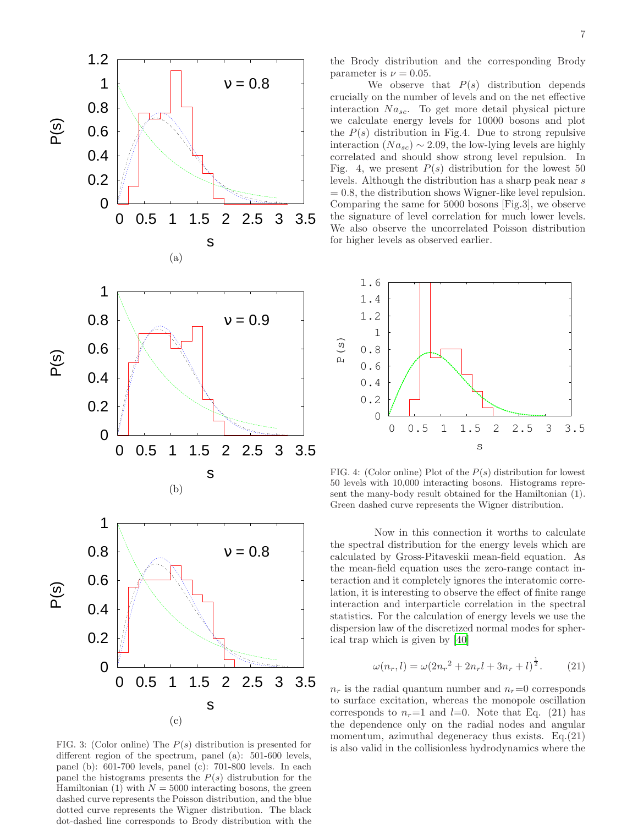

FIG. 3: (Color online) The  $P(s)$  distribution is presented for different region of the spectrum, panel (a): 501-600 levels, panel (b): 601-700 levels, panel (c): 701-800 levels. In each panel the histograms presents the  $P(s)$  distrubution for the Hamiltonian (1) with  $N = 5000$  interacting bosons, the green dashed curve represents the Poisson distribution, and the blue dotted curve represents the Wigner distribution. The black dot-dashed line corresponds to Brody distribution with the

the Brody distribution and the corresponding Brody parameter is  $\nu = 0.05$ .

We observe that  $P(s)$  distribution depends crucially on the number of levels and on the net effective interaction  $Na_{sc}$ . To get more detail physical picture we calculate energy levels for 10000 bosons and plot the  $P(s)$  distribution in Fig.4. Due to strong repulsive interaction ( $Na_{sc}$ ) ~ 2.09, the low-lying levels are highly correlated and should show strong level repulsion. In Fig. 4, we present  $P(s)$  distribution for the lowest 50 levels. Although the distribution has a sharp peak near s  $= 0.8$ , the distribution shows Wigner-like level repulsion. Comparing the same for 5000 bosons [Fig.3], we observe the signature of level correlation for much lower levels. We also observe the uncorrelated Poisson distribution for higher levels as observed earlier.



FIG. 4: (Color online) Plot of the  $P(s)$  distribution for lowest 50 levels with 10,000 interacting bosons. Histograms represent the many-body result obtained for the Hamiltonian (1). Green dashed curve represents the Wigner distribution.

Now in this connection it worths to calculate the spectral distribution for the energy levels which are calculated by Gross-Pitaveskii mean-field equation. As the mean-field equation uses the zero-range contact interaction and it completely ignores the interatomic correlation, it is interesting to observe the effect of finite range interaction and interparticle correlation in the spectral statistics. For the calculation of energy levels we use the dispersion law of the discretized normal modes for spherical trap which is given by [\[40\]](#page-11-5)

$$
\omega(n_r, l) = \omega(2n_r^2 + 2n_r l + 3n_r + l)^{\frac{1}{2}}.
$$
 (21)

 $n_r$  is the radial quantum number and  $n_r=0$  corresponds to surface excitation, whereas the monopole oscillation corresponds to  $n_r=1$  and  $l=0$ . Note that Eq. (21) has the dependence only on the radial nodes and angular momentum, azimuthal degeneracy thus exists. Eq.  $(21)$ is also valid in the collisionless hydrodynamics where the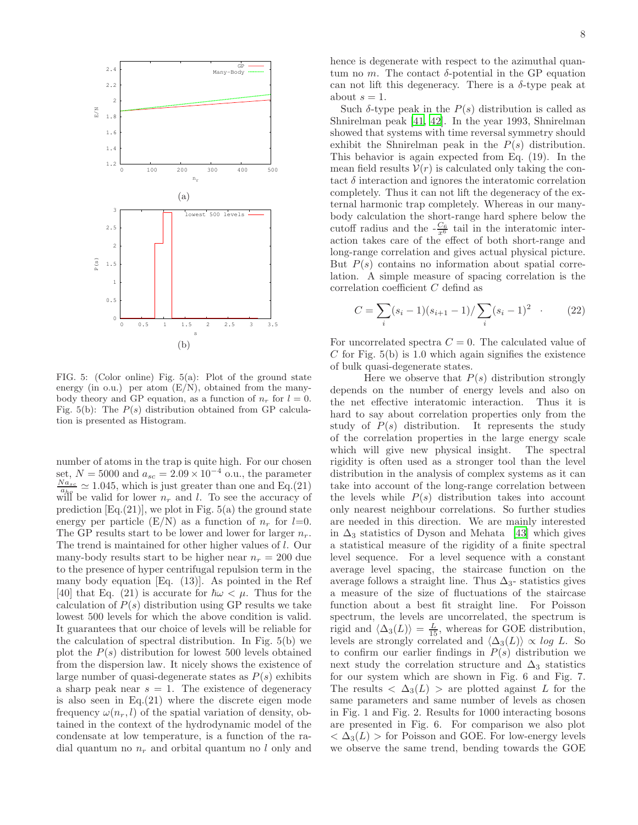

FIG. 5: (Color online) Fig. 5(a): Plot of the ground state energy (in o.u.) per atom  $(E/N)$ , obtained from the manybody theory and GP equation, as a function of  $n_r$  for  $l = 0$ . Fig. 5(b): The  $P(s)$  distribution obtained from GP calculation is presented as Histogram.

number of atoms in the trap is quite high. For our chosen set,  $N = 5000$  and  $a_{sc} = 2.09 \times 10^{-4}$  o.u., the parameter  $\frac{N a_{sc}}{a_{he}} \simeq 1.045$ , which is just greater than one and Eq.(21) will be valid for lower  $n_r$  and l. To see the accuracy of prediction  $[Eq.(21)]$ , we plot in Fig.  $5(a)$  the ground state energy per particle  $(E/N)$  as a function of  $n_r$  for  $l=0$ . The GP results start to be lower and lower for larger  $n_r$ . The trend is maintained for other higher values of l. Our many-body results start to be higher near  $n_r = 200$  due to the presence of hyper centrifugal repulsion term in the many body equation [Eq. (13)]. As pointed in the Ref [40] that Eq. (21) is accurate for  $\hbar\omega < \mu$ . Thus for the calculation of  $P(s)$  distribution using GP results we take lowest 500 levels for which the above condition is valid. It guarantees that our choice of levels will be reliable for the calculation of spectral distribution. In Fig. 5(b) we plot the  $P(s)$  distribution for lowest 500 levels obtained from the dispersion law. It nicely shows the existence of large number of quasi-degenerate states as  $P(s)$  exhibits a sharp peak near  $s = 1$ . The existence of degeneracy is also seen in Eq.(21) where the discrete eigen mode frequency  $\omega(n_r, l)$  of the spatial variation of density, obtained in the context of the hydrodynamic model of the condensate at low temperature, is a function of the radial quantum no  $n_r$  and orbital quantum no l only and hence is degenerate with respect to the azimuthal quantum no m. The contact  $\delta$ -potential in the GP equation can not lift this degeneracy. There is a  $\delta$ -type peak at about  $s = 1$ .

Such  $\delta$ -type peak in the  $P(s)$  distribution is called as Shnirelman peak [\[41,](#page-11-6) [42](#page-11-7)]. In the year 1993, Shnirelman showed that systems with time reversal symmetry should exhibit the Shnirelman peak in the  $P(s)$  distribution. This behavior is again expected from Eq. (19). In the mean field results  $V(r)$  is calculated only taking the contact  $\delta$  interaction and ignores the interatomic correlation completely. Thus it can not lift the degeneracy of the external harmonic trap completely. Whereas in our manybody calculation the short-range hard sphere below the cutoff radius and the  $-\frac{C_6}{x^6}$  tail in the interatomic interaction takes care of the effect of both short-range and long-range correlation and gives actual physical picture. But  $P(s)$  contains no information about spatial correlation. A simple measure of spacing correlation is the correlation coefficient C defind as

$$
C = \sum_{i} (s_i - 1)(s_{i+1} - 1) / \sum_{i} (s_i - 1)^2 \quad . \tag{22}
$$

For uncorrelated spectra  $C = 0$ . The calculated value of  $C$  for Fig.  $5(b)$  is 1.0 which again signifies the existence of bulk quasi-degenerate states.

Here we observe that  $P(s)$  distribution strongly depends on the number of energy levels and also on the net effective interatomic interaction. Thus it is hard to say about correlation properties only from the study of  $P(s)$  distribution. It represents the study of the correlation properties in the large energy scale which will give new physical insight. The spectral rigidity is often used as a stronger tool than the level distribution in the analysis of complex systems as it can take into account of the long-range correlation between the levels while  $P(s)$  distribution takes into account only nearest neighbour correlations. So further studies are needed in this direction. We are mainly interested in  $\Delta_3$  statistics of Dyson and Mehata [\[43](#page-11-8)] which gives a statistical measure of the rigidity of a finite spectral level sequence. For a level sequence with a constant average level spacing, the staircase function on the average follows a straight line. Thus  $\Delta_{3}$ - statistics gives a measure of the size of fluctuations of the staircase function about a best fit straight line. For Poisson spectrum, the levels are uncorrelated, the spectrum is rigid and  $\langle \Delta_3(L) \rangle = \frac{L}{15}$ , whereas for GOE distribution, levels are strongly correlated and  $\langle \Delta_3(L) \rangle \propto \log L$ . So to confirm our earlier findings in  $P(s)$  distribution we next study the correlation structure and  $\Delta_3$  statistics for our system which are shown in Fig. 6 and Fig. 7. The results  $\langle \Delta_3(L) \rangle$  are plotted against L for the same parameters and same number of levels as chosen in Fig. 1 and Fig. 2. Results for 1000 interacting bosons are presented in Fig. 6. For comparison we also plot  $<\Delta_3(L)$  > for Poisson and GOE. For low-energy levels we observe the same trend, bending towards the GOE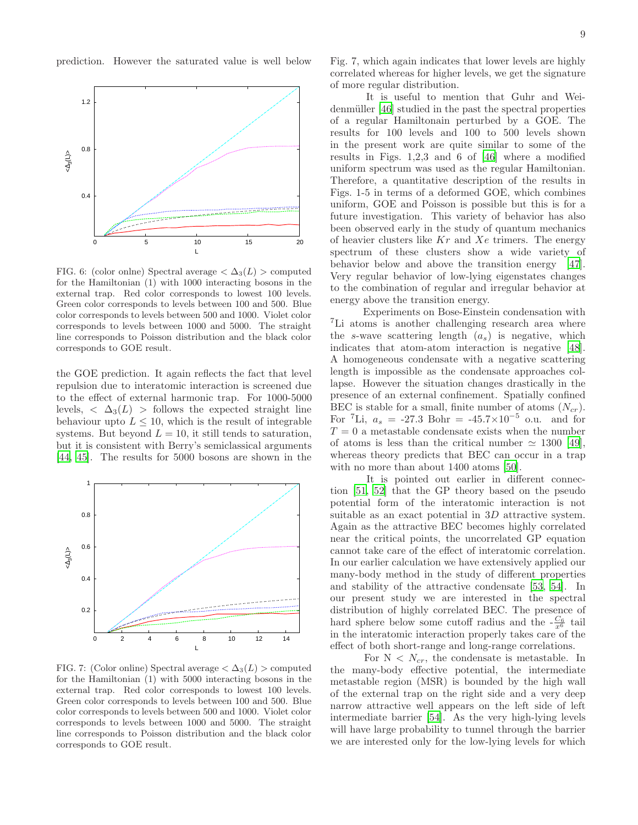prediction. However the saturated value is well below



FIG. 6: (color onlne) Spectral average  $\langle \Delta_3(L) \rangle$  computed for the Hamiltonian (1) with 1000 interacting bosons in the external trap. Red color corresponds to lowest 100 levels. Green color corresponds to levels between 100 and 500. Blue color corresponds to levels between 500 and 1000. Violet color corresponds to levels between 1000 and 5000. The straight line corresponds to Poisson distribution and the black color corresponds to GOE result.

the GOE prediction. It again reflects the fact that level repulsion due to interatomic interaction is screened due to the effect of external harmonic trap. For 1000-5000 levels,  $\langle \Delta_3(L) \rangle$  follows the expected straight line behaviour upto  $L \leq 10$ , which is the result of integrable systems. But beyond  $L = 10$ , it still tends to saturation, but it is consistent with Berry's semiclassical arguments [\[44,](#page-11-9) [45\]](#page-11-10). The results for 5000 bosons are shown in the



FIG. 7: (Color online) Spectral average  $\langle \Delta_3(L) \rangle$  computed for the Hamiltonian (1) with 5000 interacting bosons in the external trap. Red color corresponds to lowest 100 levels. Green color corresponds to levels between 100 and 500. Blue color corresponds to levels between 500 and 1000. Violet color corresponds to levels between 1000 and 5000. The straight line corresponds to Poisson distribution and the black color corresponds to GOE result.

Fig. 7, which again indicates that lower levels are highly correlated whereas for higher levels, we get the signature of more regular distribution.

It is useful to mention that Guhr and Wei-denmüller [\[46\]](#page-11-11) studied in the past the spectral properties of a regular Hamiltonain perturbed by a GOE. The results for 100 levels and 100 to 500 levels shown in the present work are quite similar to some of the results in Figs. 1,2,3 and 6 of [\[46](#page-11-11)] where a modified uniform spectrum was used as the regular Hamiltonian. Therefore, a quantitative description of the results in Figs. 1-5 in terms of a deformed GOE, which combines uniform, GOE and Poisson is possible but this is for a future investigation. This variety of behavior has also been observed early in the study of quantum mechanics of heavier clusters like  $Kr$  and  $Xe$  trimers. The energy spectrum of these clusters show a wide variety of behavior below and above the transition energy [\[47\]](#page-11-12). Very regular behavior of low-lying eigenstates changes to the combination of regular and irregular behavior at energy above the transition energy.

Experiments on Bose-Einstein condensation with <sup>7</sup>Li atoms is another challenging research area where the s-wave scattering length  $(a_s)$  is negative, which indicates that atom-atom interaction is negative [\[48\]](#page-11-13). A homogeneous condensate with a negative scattering length is impossible as the condensate approaches collapse. However the situation changes drastically in the presence of an external confinement. Spatially confined BEC is stable for a small, finite number of atoms  $(N_{cr})$ . For <sup>7</sup>Li,  $a_s = -27.3$  Bohr =  $-45.7 \times 10^{-5}$  o.u. and for  $T = 0$  a metastable condensate exists when the number of atoms is less than the critical number  $\simeq$  1300 [\[49\]](#page-11-14), whereas theory predicts that BEC can occur in a trap with no more than about 1400 atoms [\[50\]](#page-11-15).

It is pointed out earlier in different connection [\[51,](#page-11-16) [52\]](#page-11-17) that the GP theory based on the pseudo potential form of the interatomic interaction is not suitable as an exact potential in 3D attractive system. Again as the attractive BEC becomes highly correlated near the critical points, the uncorrelated GP equation cannot take care of the effect of interatomic correlation. In our earlier calculation we have extensively applied our many-body method in the study of different properties and stability of the attractive condensate [\[53](#page-11-18), [54\]](#page-11-19). In our present study we are interested in the spectral distribution of highly correlated BEC. The presence of hard sphere below some cutoff radius and the  $-\frac{C_6}{x^6}$  tail in the interatomic interaction properly takes care of the effect of both short-range and long-range correlations.

For  $N < N_{cr}$ , the condensate is metastable. In the many-body effective potential, the intermediate metastable region (MSR) is bounded by the high wall of the external trap on the right side and a very deep narrow attractive well appears on the left side of left intermediate barrier [\[54](#page-11-19)]. As the very high-lying levels will have large probability to tunnel through the barrier we are interested only for the low-lying levels for which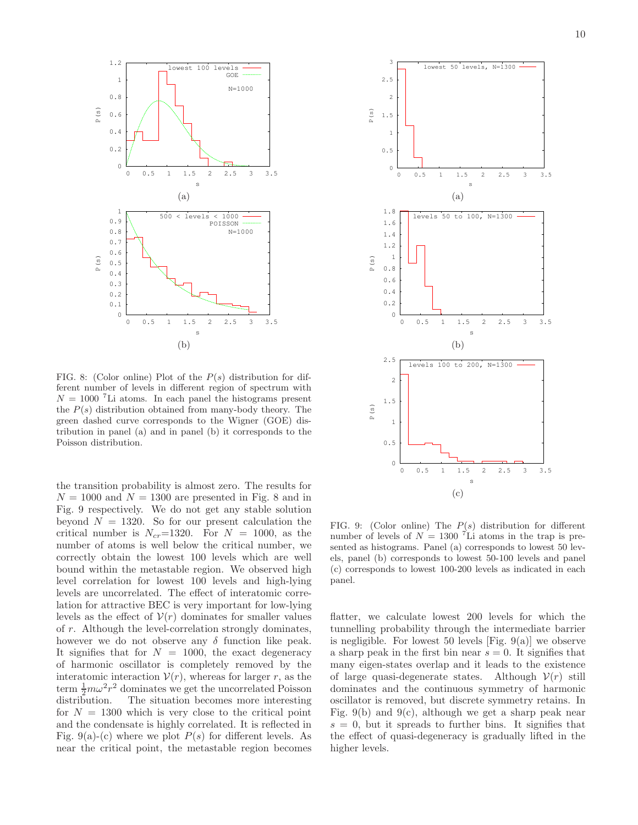

FIG. 8: (Color online) Plot of the  $P(s)$  distribution for different number of levels in different region of spectrum with  $N = 1000$  <sup>7</sup>Li atoms. In each panel the histograms present the  $P(s)$  distribution obtained from many-body theory. The green dashed curve corresponds to the Wigner (GOE) distribution in panel (a) and in panel (b) it corresponds to the Poisson distribution.

the transition probability is almost zero. The results for  $N = 1000$  and  $N = 1300$  are presented in Fig. 8 and in Fig. 9 respectively. We do not get any stable solution beyond  $N = 1320$ . So for our present calculation the critical number is  $N_{cr}$ =1320. For  $N = 1000$ , as the number of atoms is well below the critical number, we correctly obtain the lowest 100 levels which are well bound within the metastable region. We observed high level correlation for lowest 100 levels and high-lying levels are uncorrelated. The effect of interatomic correlation for attractive BEC is very important for low-lying levels as the effect of  $V(r)$  dominates for smaller values of r. Although the level-correlation strongly dominates, however we do not observe any  $\delta$  function like peak. It signifies that for  $N = 1000$ , the exact degeneracy of harmonic oscillator is completely removed by the interatomic interaction  $V(r)$ , whereas for larger r, as the term  $\frac{1}{2}m\omega^2r^2$  dominates we get the uncorrelated Poisson distribution. The situation becomes more interesting for  $N = 1300$  which is very close to the critical point and the condensate is highly correlated. It is reflected in Fig. 9(a)-(c) where we plot  $P(s)$  for different levels. As near the critical point, the metastable region becomes



FIG. 9: (Color online) The  $P(s)$  distribution for different number of levels of  $N = 1300$  <sup>7</sup>Li atoms in the trap is presented as histograms. Panel (a) corresponds to lowest 50 levels, panel (b) corresponds to lowest 50-100 levels and panel (c) corresponds to lowest 100-200 levels as indicated in each panel.

flatter, we calculate lowest 200 levels for which the tunnelling probability through the intermediate barrier is negligible. For lowest 50 levels [Fig. 9(a)] we observe a sharp peak in the first bin near  $s = 0$ . It signifies that many eigen-states overlap and it leads to the existence of large quasi-degenerate states. Although  $V(r)$  still dominates and the continuous symmetry of harmonic oscillator is removed, but discrete symmetry retains. In Fig. 9(b) and 9(c), although we get a sharp peak near  $s = 0$ , but it spreads to further bins. It signifies that the effect of quasi-degeneracy is gradually lifted in the higher levels.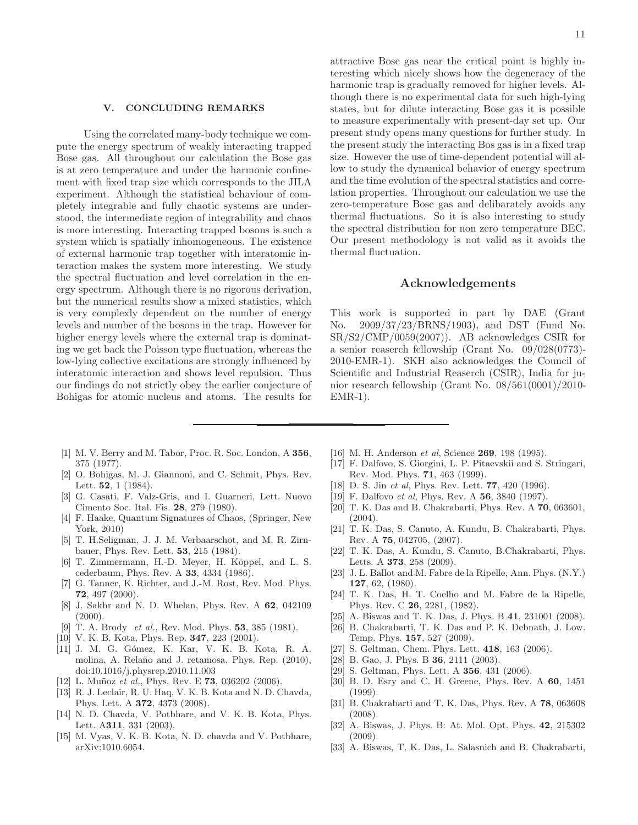### V. CONCLUDING REMARKS

Using the correlated many-body technique we compute the energy spectrum of weakly interacting trapped Bose gas. All throughout our calculation the Bose gas is at zero temperature and under the harmonic confinement with fixed trap size which corresponds to the JILA experiment. Although the statistical behaviour of completely integrable and fully chaotic systems are understood, the intermediate region of integrability and chaos is more interesting. Interacting trapped bosons is such a system which is spatially inhomogeneous. The existence of external harmonic trap together with interatomic interaction makes the system more interesting. We study the spectral fluctuation and level correlation in the energy spectrum. Although there is no rigorous derivation, but the numerical results show a mixed statistics, which is very complexly dependent on the number of energy levels and number of the bosons in the trap. However for higher energy levels where the external trap is dominating we get back the Poisson type fluctuation, whereas the low-lying collective excitations are strongly influenced by interatomic interaction and shows level repulsion. Thus our findings do not strictly obey the earlier conjecture of Bohigas for atomic nucleus and atoms. The results for

11

attractive Bose gas near the critical point is highly interesting which nicely shows how the degeneracy of the harmonic trap is gradually removed for higher levels. Although there is no experimental data for such high-lying states, but for dilute interacting Bose gas it is possible to measure experimentally with present-day set up. Our present study opens many questions for further study. In the present study the interacting Bos gas is in a fixed trap size. However the use of time-dependent potential will allow to study the dynamical behavior of energy spectrum and the time evolution of the spectral statistics and correlation properties. Throughout our calculation we use the zero-temperature Bose gas and delibarately avoids any thermal fluctuations. So it is also interesting to study the spectral distribution for non zero temperature BEC. Our present methodology is not valid as it avoids the thermal fluctuation.

# Acknowledgements

This work is supported in part by DAE (Grant No. 2009/37/23/BRNS/1903), and DST (Fund No. SR/S2/CMP/0059(2007)). AB acknowledges CSIR for a senior reaserch fellowship (Grant No. 09/028(0773)- 2010-EMR-1). SKH also acknowledges the Council of Scientific and Industrial Reaserch (CSIR), India for junior research fellowship (Grant No. 08/561(0001)/2010-  $EMR-1$ ).

- <span id="page-10-0"></span>[1] M. V. Berry and M. Tabor, Proc. R. Soc. London, A 356, 375 (1977).
- <span id="page-10-1"></span>[2] O. Bohigas, M. J. Giannoni, and C. Schmit, Phys. Rev. Lett. 52, 1 (1984).
- <span id="page-10-3"></span>[3] G. Casati, F. Valz-Gris, and I. Guarneri, Lett. Nuovo Cimento Soc. Ital. Fis. 28, 279 (1980).
- <span id="page-10-2"></span>[4] F. Haake, Quantum Signatures of Chaos, (Springer, New York, 2010)
- [5] T. H.Seligman, J. J. M. Verbaarschot, and M. R. Zirnbauer, Phys. Rev. Lett. 53, 215 (1984).
- [6] T. Zimmermann, H.-D. Meyer, H. Köppel, and L. S. cederbaum, Phys. Rev. A 33, 4334 (1986).
- [7] G. Tanner, K. Richter, and J.-M. Rost, Rev. Mod. Phys. 72, 497 (2000).
- [8] J. Sakhr and N. D. Whelan, Phys. Rev. A 62, 042109  $(2000)$ .
- <span id="page-10-25"></span>[9] T. A. Brody *et al.*, Rev. Mod. Phys. **53**, 385 (1981).
- <span id="page-10-6"></span>[10] V. K. B. Kota, Phys. Rep. **347**, 223 (2001).
- <span id="page-10-4"></span>[11] J. M. G. Gómez, K. Kar, V. K. B. Kota, R. A. molina, A. Relaño and J. retamosa, Phys. Rep. (2010), doi:10.1016/j.physrep.2010.11.003
- <span id="page-10-5"></span>[12] L. Muñoz et al., Phys. Rev. E **73**, 036202 (2006).
- <span id="page-10-7"></span>[13] R. J. Leclair, R. U. Haq, V. K. B. Kota and N. D. Chavda, Phys. Lett. A 372, 4373 (2008).
- [14] N. D. Chavda, V. Potbhare, and V. K. B. Kota, Phys. Lett. A311, 331 (2003).
- <span id="page-10-8"></span>[15] M. Vyas, V. K. B. Kota, N. D. chavda and V. Potbhare, arXiv:1010.6054.
- <span id="page-10-9"></span>[16] M. H. Anderson *et al*, Science **269**, 198 (1995).
- <span id="page-10-10"></span>[17] F. Dalfovo, S. Giorgini, L. P. Pitaevskii and S. Stringari, Rev. Mod. Phys. 71, 463 (1999).
- <span id="page-10-11"></span>[18] D. S. Jin et al, Phys. Rev. Lett. **77**, 420 (1996).
- <span id="page-10-12"></span>[19] F. Dalfovo *et al*, Phys. Rev. A **56**, 3840 (1997).
- <span id="page-10-13"></span>[20] T. K. Das and B. Chakrabarti, Phys. Rev. A 70, 063601, (2004).
- <span id="page-10-15"></span>[21] T. K. Das, S. Canuto, A. Kundu, B. Chakrabarti, Phys. Rev. A 75, 042705, (2007).
- <span id="page-10-14"></span>[22] T. K. Das, A. Kundu, S. Canuto, B.Chakrabarti, Phys. Letts. A 373, 258 (2009).
- <span id="page-10-16"></span>[23] J. L. Ballot and M. Fabre de la Ripelle, Ann. Phys. (N.Y.) 127, 62, (1980).
- <span id="page-10-17"></span>[24] T. K. Das, H. T. Coelho and M. Fabre de la Ripelle, Phys. Rev. C 26, 2281, (1982).
- <span id="page-10-18"></span>[25] A. Biswas and T. K. Das, J. Phys. B 41, 231001 (2008).
- <span id="page-10-19"></span>[26] B. Chakrabarti, T. K. Das and P. K. Debnath, J. Low. Temp. Phys. 157, 527 (2009).
- <span id="page-10-20"></span>[27] S. Geltman, Chem. Phys. Lett. **418**, 163 (2006).
- [28] B. Gao, J. Phys. B **36**, 2111 (2003).
- <span id="page-10-21"></span>[29] S. Geltman, Phys. Lett. A **356**, 431 (2006).
- <span id="page-10-22"></span>[30] B. D. Esry and C. H. Greene, Phys. Rev. A 60, 1451 (1999).
- <span id="page-10-23"></span>[31] B. Chakrabarti and T. K. Das, Phys. Rev. A 78, 063608 (2008).
- <span id="page-10-24"></span>[32] A. Biswas, J. Phys. B: At. Mol. Opt. Phys. 42, 215302 (2009).
- [33] A. Biswas, T. K. Das, L. Salasnich and B. Chakrabarti,